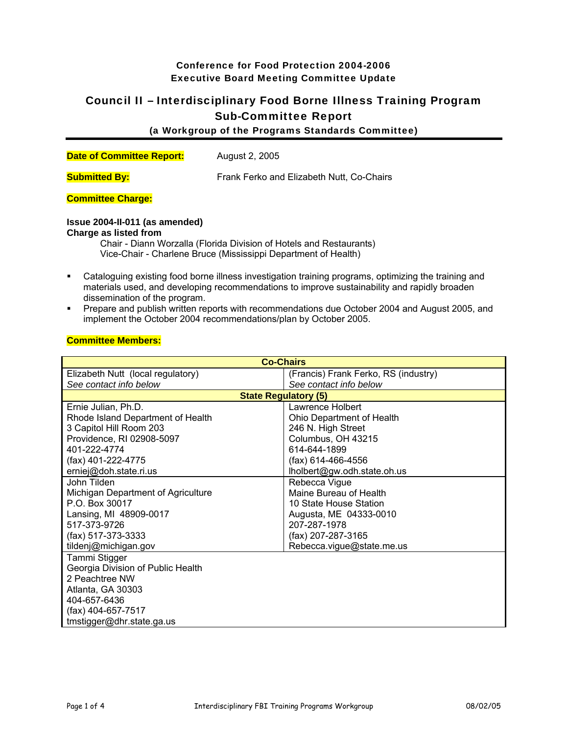# Conference for Food Protection 2004-2006 Executive Board Meeting Committee Update

# Council II – Interdisciplinary Food Borne Illness Training Program Sub-Committee Report

(a Workgroup of the Programs Standards Committee)

| <b>Date of Committee Report:</b> | August 2, 2005 |
|----------------------------------|----------------|

**Submitted By:** Frank Ferko and Elizabeth Nutt, Co-Chairs

## **Committee Charge:**

### **Issue 2004-II-011 (as amended)**

#### **Charge as listed from**

Chair - Diann Worzalla (Florida Division of Hotels and Restaurants) Vice-Chair - Charlene Bruce (Mississippi Department of Health)

- Cataloguing existing food borne illness investigation training programs, optimizing the training and materials used, and developing recommendations to improve sustainability and rapidly broaden dissemination of the program.
- Prepare and publish written reports with recommendations due October 2004 and August 2005, and implement the October 2004 recommendations/plan by October 2005.

#### **Committee Members:**

| <b>Co-Chairs</b>                   |                                      |  |
|------------------------------------|--------------------------------------|--|
| Elizabeth Nutt (local regulatory)  | (Francis) Frank Ferko, RS (industry) |  |
| See contact info below             | See contact info below               |  |
| <b>State Regulatory (5)</b>        |                                      |  |
| Ernie Julian, Ph.D.                | Lawrence Holbert                     |  |
| Rhode Island Department of Health  | Ohio Department of Health            |  |
| 3 Capitol Hill Room 203            | 246 N. High Street                   |  |
| Providence, RI 02908-5097          | Columbus, OH 43215                   |  |
| 401-222-4774                       | 614-644-1899                         |  |
| (fax) 401-222-4775                 | (fax) 614-466-4556                   |  |
| erniej@doh.state.ri.us             | lholbert@gw.odh.state.oh.us          |  |
| John Tilden                        | Rebecca Vigue                        |  |
| Michigan Department of Agriculture | Maine Bureau of Health               |  |
| P.O. Box 30017                     | 10 State House Station               |  |
| Lansing, MI 48909-0017             | Augusta, ME 04333-0010               |  |
| 517-373-9726                       | 207-287-1978                         |  |
| (fax) 517-373-3333                 | (fax) 207-287-3165                   |  |
| tildenj@michigan.gov               | Rebecca.vigue@state.me.us            |  |
| Tammi Stigger                      |                                      |  |
| Georgia Division of Public Health  |                                      |  |
| 2 Peachtree NW                     |                                      |  |
| Atlanta, GA 30303                  |                                      |  |
| 404-657-6436                       |                                      |  |
| (fax) 404-657-7517                 |                                      |  |
| tmstigger@dhr.state.ga.us          |                                      |  |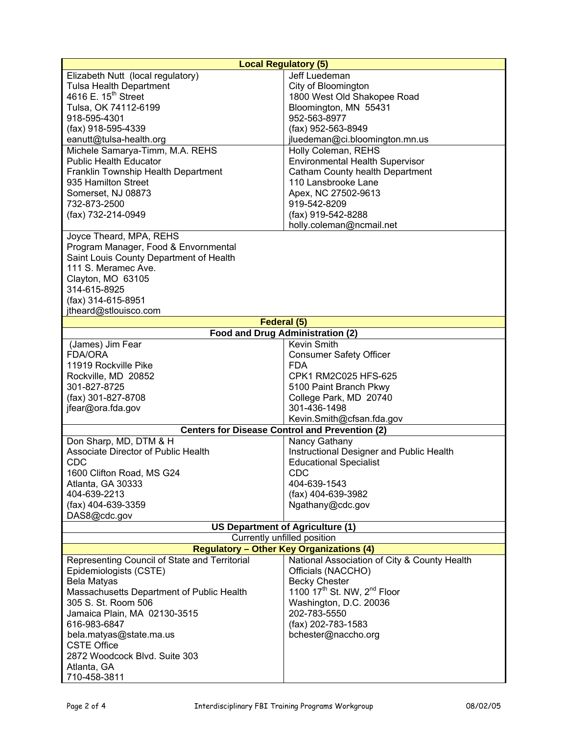|                                               | <b>Local Regulatory (5)</b>                           |
|-----------------------------------------------|-------------------------------------------------------|
| Elizabeth Nutt (local regulatory)             | Jeff Luedeman                                         |
| <b>Tulsa Health Department</b>                | City of Bloomington                                   |
| 4616 E. 15 <sup>th</sup> Street               | 1800 West Old Shakopee Road                           |
| Tulsa, OK 74112-6199                          | Bloomington, MN 55431                                 |
| 918-595-4301                                  | 952-563-8977                                          |
| (fax) 918-595-4339                            | (fax) 952-563-8949                                    |
| eanutt@tulsa-health.org                       | jluedeman@ci.bloomington.mn.us                        |
| Michele Samarya-Timm, M.A. REHS               | Holly Coleman, REHS                                   |
| <b>Public Health Educator</b>                 | <b>Environmental Health Supervisor</b>                |
| Franklin Township Health Department           | Catham County health Department                       |
| 935 Hamilton Street                           | 110 Lansbrooke Lane                                   |
| Somerset, NJ 08873                            | Apex, NC 27502-9613                                   |
| 732-873-2500                                  | 919-542-8209                                          |
| (fax) 732-214-0949                            | (fax) 919-542-8288                                    |
|                                               | holly.coleman@ncmail.net                              |
| Joyce Theard, MPA, REHS                       |                                                       |
| Program Manager, Food & Envornmental          |                                                       |
| Saint Louis County Department of Health       |                                                       |
| 111 S. Meramec Ave.                           |                                                       |
| Clayton, MO 63105                             |                                                       |
| 314-615-8925                                  |                                                       |
| (fax) 314-615-8951                            |                                                       |
| jtheard@stlouisco.com                         |                                                       |
|                                               | Federal (5)                                           |
|                                               | <b>Food and Drug Administration (2)</b>               |
| (James) Jim Fear                              | Kevin Smith                                           |
| <b>FDA/ORA</b>                                | <b>Consumer Safety Officer</b>                        |
| 11919 Rockville Pike                          | <b>FDA</b>                                            |
| Rockville, MD 20852                           | CPK1 RM2C025 HFS-625                                  |
| 301-827-8725                                  | 5100 Paint Branch Pkwy                                |
| (fax) 301-827-8708                            | College Park, MD 20740                                |
| jfear@ora.fda.gov                             | 301-436-1498                                          |
|                                               | Kevin.Smith@cfsan.fda.gov                             |
|                                               | <b>Centers for Disease Control and Prevention (2)</b> |
| Don Sharp, MD, DTM & H                        | Nancy Gathany                                         |
| Associate Director of Public Health           | Instructional Designer and Public Health              |
| <b>CDC</b>                                    | <b>Educational Specialist</b>                         |
| 1600 Clifton Road, MS G24                     | <b>CDC</b>                                            |
| Atlanta, GA 30333                             | 404-639-1543                                          |
| 404-639-2213                                  | (fax) 404-639-3982                                    |
| (fax) 404-639-3359                            | Ngathany@cdc.gov                                      |
| DAS8@cdc.gov                                  |                                                       |
|                                               | <b>US Department of Agriculture (1)</b>               |
|                                               | Currently unfilled position                           |
|                                               | <b>Regulatory - Other Key Organizations (4)</b>       |
| Representing Council of State and Territorial | National Association of City & County Health          |
| Epidemiologists (CSTE)                        | Officials (NACCHO)                                    |
| Bela Matyas                                   | <b>Becky Chester</b>                                  |
| Massachusetts Department of Public Health     | 1100 17 <sup>th</sup> St. NW, 2 <sup>nd</sup> Floor   |
| 305 S. St. Room 506                           | Washington, D.C. 20036                                |
| Jamaica Plain, MA 02130-3515                  | 202-783-5550                                          |
| 616-983-6847                                  | (fax) 202-783-1583                                    |
| bela.matyas@state.ma.us                       | bchester@naccho.org                                   |
| <b>CSTE Office</b>                            |                                                       |
| 2872 Woodcock Blvd. Suite 303                 |                                                       |
| Atlanta, GA                                   |                                                       |
| 710-458-3811                                  |                                                       |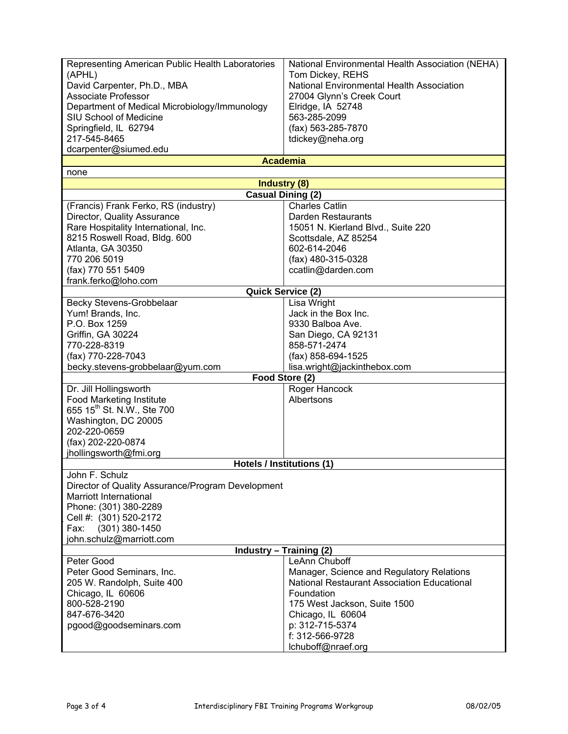| Representing American Public Health Laboratories<br>(APHL)<br>David Carpenter, Ph.D., MBA<br><b>Associate Professor</b><br>Department of Medical Microbiology/Immunology<br>SIU School of Medicine<br>Springfield, IL 62794 | National Environmental Health Association (NEHA)<br>Tom Dickey, REHS<br>National Environmental Health Association<br>27004 Glynn's Creek Court<br>Elridge, IA 52748<br>563-285-2099<br>(fax) 563-285-7870 |
|-----------------------------------------------------------------------------------------------------------------------------------------------------------------------------------------------------------------------------|-----------------------------------------------------------------------------------------------------------------------------------------------------------------------------------------------------------|
| 217-545-8465                                                                                                                                                                                                                | tdickey@neha.org                                                                                                                                                                                          |
| dcarpenter@siumed.edu                                                                                                                                                                                                       | <b>Academia</b>                                                                                                                                                                                           |
| none                                                                                                                                                                                                                        |                                                                                                                                                                                                           |
|                                                                                                                                                                                                                             | <b>Industry (8)</b>                                                                                                                                                                                       |
|                                                                                                                                                                                                                             | Casual Dining (2)                                                                                                                                                                                         |
| (Francis) Frank Ferko, RS (industry)                                                                                                                                                                                        | <b>Charles Catlin</b>                                                                                                                                                                                     |
| Director, Quality Assurance                                                                                                                                                                                                 | Darden Restaurants                                                                                                                                                                                        |
| Rare Hospitality International, Inc.                                                                                                                                                                                        | 15051 N. Kierland Blvd., Suite 220                                                                                                                                                                        |
| 8215 Roswell Road, Bldg. 600                                                                                                                                                                                                | Scottsdale, AZ 85254                                                                                                                                                                                      |
| Atlanta, GA 30350                                                                                                                                                                                                           | 602-614-2046                                                                                                                                                                                              |
| 770 206 5019                                                                                                                                                                                                                | (fax) 480-315-0328                                                                                                                                                                                        |
| (fax) 770 551 5409                                                                                                                                                                                                          | ccatlin@darden.com                                                                                                                                                                                        |
| frank.ferko@loho.com                                                                                                                                                                                                        | Quick Service (2)                                                                                                                                                                                         |
| Becky Stevens-Grobbelaar                                                                                                                                                                                                    | Lisa Wright                                                                                                                                                                                               |
| Yum! Brands, Inc.                                                                                                                                                                                                           | Jack in the Box Inc.                                                                                                                                                                                      |
| P.O. Box 1259                                                                                                                                                                                                               | 9330 Balboa Ave.                                                                                                                                                                                          |
| Griffin, GA 30224                                                                                                                                                                                                           | San Diego, CA 92131                                                                                                                                                                                       |
| 770-228-8319                                                                                                                                                                                                                | 858-571-2474                                                                                                                                                                                              |
| (fax) 770-228-7043                                                                                                                                                                                                          | (fax) 858-694-1525                                                                                                                                                                                        |
| becky.stevens-grobbelaar@yum.com                                                                                                                                                                                            | lisa.wright@jackinthebox.com                                                                                                                                                                              |
|                                                                                                                                                                                                                             | Food Store (2)                                                                                                                                                                                            |
| Dr. Jill Hollingsworth                                                                                                                                                                                                      | Roger Hancock                                                                                                                                                                                             |
| <b>Food Marketing Institute</b>                                                                                                                                                                                             | Albertsons                                                                                                                                                                                                |
| 655 15 <sup>th</sup> St. N.W., Ste 700                                                                                                                                                                                      |                                                                                                                                                                                                           |
| Washington, DC 20005                                                                                                                                                                                                        |                                                                                                                                                                                                           |
| 202-220-0659                                                                                                                                                                                                                |                                                                                                                                                                                                           |
| (fax) 202-220-0874                                                                                                                                                                                                          |                                                                                                                                                                                                           |
| jhollingsworth@fmi.org                                                                                                                                                                                                      | <b>Hotels / Institutions (1)</b>                                                                                                                                                                          |
| John F. Schulz                                                                                                                                                                                                              |                                                                                                                                                                                                           |
| Director of Quality Assurance/Program Development                                                                                                                                                                           |                                                                                                                                                                                                           |
| Marriott International                                                                                                                                                                                                      |                                                                                                                                                                                                           |
| Phone: (301) 380-2289                                                                                                                                                                                                       |                                                                                                                                                                                                           |
| Cell #: (301) 520-2172                                                                                                                                                                                                      |                                                                                                                                                                                                           |
| (301) 380-1450<br>Fax:                                                                                                                                                                                                      |                                                                                                                                                                                                           |
| john.schulz@marriott.com                                                                                                                                                                                                    |                                                                                                                                                                                                           |
| <b>Industry - Training (2)</b>                                                                                                                                                                                              |                                                                                                                                                                                                           |
| Peter Good                                                                                                                                                                                                                  | LeAnn Chuboff                                                                                                                                                                                             |
| Peter Good Seminars, Inc.                                                                                                                                                                                                   | Manager, Science and Regulatory Relations                                                                                                                                                                 |
| 205 W. Randolph, Suite 400                                                                                                                                                                                                  | <b>National Restaurant Association Educational</b>                                                                                                                                                        |
| Chicago, IL 60606                                                                                                                                                                                                           | Foundation                                                                                                                                                                                                |
| 800-528-2190<br>847-676-3420                                                                                                                                                                                                | 175 West Jackson, Suite 1500                                                                                                                                                                              |
| pgood@goodseminars.com                                                                                                                                                                                                      | Chicago, IL 60604<br>p: 312-715-5374                                                                                                                                                                      |
|                                                                                                                                                                                                                             | f: 312-566-9728                                                                                                                                                                                           |
|                                                                                                                                                                                                                             | lchuboff@nraef.org                                                                                                                                                                                        |